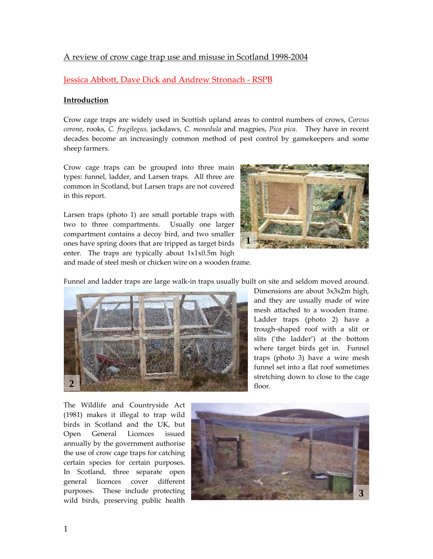# A review of crow cage trap use and misuse in Scotland 1998‐2004

# Jessica Abbott, Dave Dick and Andrew Stronach ‐ RSPB

## **Introduction**

Crow cage traps are widely used in Scottish upland areas to control numbers of crows, *Corvus corone*, rooks, *C. frugilegus,* jackdaws, *C. monedula* and magpies, *Pica pica.*  They have in recent decades become an increasingly common method of pest control by gamekeepers and some sheep farmers.

Crow cage traps can be grouped into three main types: funnel, ladder, and Larsen traps. All three are common in Scotland, but Larsen traps are not covered in this report.

Larsen traps (photo 1) are small portable traps with two to three compartments. Usually one larger compartment contains a decoy bird, and two smaller ones have spring doors that are tripped as target birds enter. The traps are typically about  $1x1x0.5m$  high



and made of steel mesh or chicken wire on a wooden frame.

Funnel and ladder traps are large walk-in traps usually built on site and seldom moved around.



Dimensions are about 3x3x2m high, and they are usually made of wire mesh attached to a wooden frame. Ladder traps (photo 2) have a trough‐shaped roof with a slit or slits ('the ladder') at the bottom where target birds get in. Funnel traps (photo 3) have a wire mesh funnel set into a flat roof sometimes stretching down to close to the cage

The Wildlife and Countryside Act (1981) makes it illegal to trap wild birds in Scotland and the UK, but Open General Licences issued annually by the government authorise the use of crow cage traps for catching certain species for certain purposes. In Scotland, three separate open general licences cover different purposes. These include protecting wild birds, preserving public health

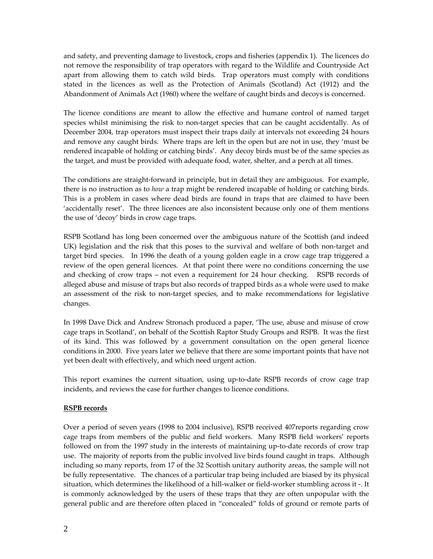and safety, and preventing damage to livestock, crops and fisheries (appendix 1). The licences do not remove the responsibility of trap operators with regard to the Wildlife and Countryside Act apart from allowing them to catch wild birds. Trap operators must comply with conditions stated in the licences as well as the Protection of Animals (Scotland) Act (1912) and the Abandonment of Animals Act (1960) where the welfare of caught birds and decoys is concerned.

The licence conditions are meant to allow the effective and humane control of named target species whilst minimising the risk to non-target species that can be caught accidentally. As of December 2004, trap operators must inspect their traps daily at intervals not exceeding 24 hours and remove any caught birds. Where traps are left in the open but are not in use, they 'must be rendered incapable of holding or catching birds'. Any decoy birds must be of the same species as the target, and must be provided with adequate food, water, shelter, and a perch at all times.

The conditions are straight-forward in principle, but in detail they are ambiguous. For example, there is no instruction as to *how* a trap might be rendered incapable of holding or catching birds. This is a problem in cases where dead birds are found in traps that are claimed to have been 'accidentally reset'. The three licences are also inconsistent because only one of them mentions the use of 'decoy' birds in crow cage traps.

RSPB Scotland has long been concerned over the ambiguous nature of the Scottish (and indeed UK) legislation and the risk that this poses to the survival and welfare of both non‐target and target bird species. In 1996 the death of a young golden eagle in a crow cage trap triggered a review of the open general licences. At that point there were no conditions concerning the use and checking of crow traps – not even a requirement for 24 hour checking. RSPB records of alleged abuse and misuse of traps but also records of trapped birds as a whole were used to make an assessment of the risk to non-target species, and to make recommendations for legislative changes.

In 1998 Dave Dick and Andrew Stronach produced a paper, 'The use, abuse and misuse of crow cage traps in Scotland', on behalf of the Scottish Raptor Study Groups and RSPB. It was the first of its kind. This was followed by a government consultation on the open general licence conditions in 2000. Five years later we believe that there are some important points that have not yet been dealt with effectively, and which need urgent action.

This report examines the current situation, using up‐to‐date RSPB records of crow cage trap incidents, and reviews the case for further changes to licence conditions.

#### **RSPB records**

Over a period of seven years (1998 to 2004 inclusive), RSPB received 407reports regarding crow cage traps from members of the public and field workers. Many RSPB field workers' reports followed on from the 1997 study in the interests of maintaining up-to-date records of crow trap use. The majority of reports from the public involved live birds found caught in traps. Although including so many reports, from 17 of the 32 Scottish unitary authority areas, the sample will not be fully representative. The chances of a particular trap being included are biased by its physical situation, which determines the likelihood of a hill‐walker or field‐worker stumbling across it ‐. It is commonly acknowledged by the users of these traps that they are often unpopular with the general public and are therefore often placed in "concealed" folds of ground or remote parts of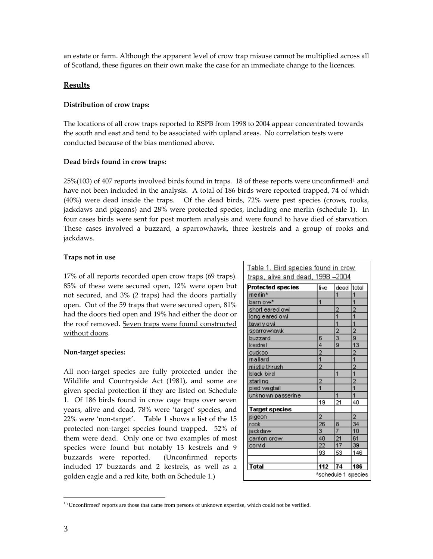an estate or farm. Although the apparent level of crow trap misuse cannot be multiplied across all of Scotland, these figures on their own make the case for an immediate change to the licences.

#### **Results**

#### **Distribution of crow traps:**

The locations of all crow traps reported to RSPB from 1998 to 2004 appear concentrated towards the south and east and tend to be associated with upland areas. No correlation tests were conducted because of the bias mentioned above.

#### **Dead birds found in crow traps:**

 $25\%/103$  $25\%/103$  $25\%/103$  of 407 reports involved birds found in traps. 18 of these reports were unconfirmed<sup>1</sup> and have not been included in the analysis. A total of 186 birds were reported trapped, 74 of which (40%) were dead inside the traps. Of the dead birds, 72% were pest species (crows, rooks, jackdaws and pigeons) and 28% were protected species, including one merlin (schedule 1). In four cases birds were sent for post mortem analysis and were found to have died of starvation. These cases involved a buzzard, a sparrowhawk, three kestrels and a group of rooks and jackdaws.

### **Traps not in use**

17% of all reports recorded open crow traps (69 traps). 85% of these were secured open, 12% were open but not secured, and 3% (2 traps) had the doors partially open. Out of the 59 traps that were secured open, 81% had the doors tied open and 19% had either the door or the roof removed. Seven traps were found constructed without doors.

#### **Non‐target species:**

All non-target species are fully protected under the Wildlife and Countryside Act (1981), and some are given special protection if they are listed on Schedule 1. Of 186 birds found in crow cage traps over seven years, alive and dead, 78% were 'target' species, and 22% were 'non-target'. Table 1 shows a list of the 15 protected non-target species found trapped. 52% of them were dead. Only one or two examples of most species were found but notably 13 kestrels and 9 buzzards were reported. (Unconfirmed reports included 17 buzzards and 2 kestrels, as well as a golden eagle and a red kite, both on Schedule 1.)

| <u>Table 1. Bird species found in crow</u> |                     |                           |                |  |
|--------------------------------------------|---------------------|---------------------------|----------------|--|
| traps, alive and dead, 1998 -2004          |                     |                           |                |  |
| Protected species                          | live                | dead                      | total          |  |
| merlin*                                    |                     | 1                         | 1              |  |
| barn owl*                                  | 1                   |                           | 1              |  |
| short eared owl                            |                     | $\overline{2}$            | $\overline{2}$ |  |
| long eared owl                             |                     | $\overline{1}$            | $\overline{1}$ |  |
| <u>tawn γ o wl</u>                         |                     | 1                         | 1              |  |
| sparrowhawk                                |                     | $\overline{2}$            | $\overline{2}$ |  |
| buzzard                                    | 6                   | $\overline{\overline{3}}$ | 9              |  |
| kestrel                                    | 4                   | 9                         | 13             |  |
| cuckoo                                     | $\overline{2}$      |                           | $\overline{2}$ |  |
| mallard                                    | 1                   |                           | 1              |  |
| mistle thrush                              | $\overline{2}$      |                           | $\overline{2}$ |  |
| black bird                                 |                     | 1                         | 1              |  |
| starling                                   | $\overline{2}$      |                           | $\overline{2}$ |  |
| pied wagtail                               | $\overline{1}$      |                           | $\overline{1}$ |  |
| unknown passerine                          |                     | 1                         | $\overline{1}$ |  |
|                                            | 19                  | 21                        | 40             |  |
| Target species                             |                     |                           |                |  |
| pigeon                                     | $\overline{2}$      |                           | $\overline{2}$ |  |
| rook                                       | 26                  | 8                         | 34             |  |
| jackdaw                                    | 3                   | 7                         | 10             |  |
| carrion crow                               | 40                  | $\overline{21}$           | 61             |  |
| corvid                                     | 22                  | 17                        | 39             |  |
|                                            | 93                  | 53                        | 146            |  |
| Total                                      | 112                 | 74                        | 186            |  |
|                                            | *schedule 1 species |                           |                |  |

<span id="page-2-0"></span><sup>1</sup> 'Unconfirmed' reports are those that came from persons of unknown expertise, which could not be verified.

 $\overline{a}$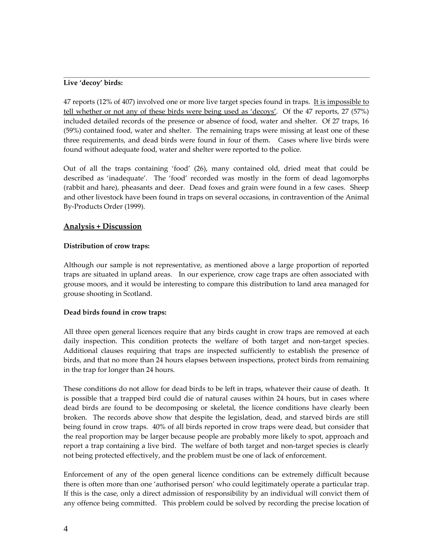#### **Live 'decoy' birds:**

47 reports (12% of 407) involved one or more live target species found in traps. It is impossible to tell whether or not any of these birds were being used as 'decoys'. Of the 47 reports, 27 (57%) included detailed records of the presence or absence of food, water and shelter. Of 27 traps, 16 (59%) contained food, water and shelter. The remaining traps were missing at least one of these three requirements, and dead birds were found in four of them. Cases where live birds were found without adequate food, water and shelter were reported to the police.

Out of all the traps containing 'food' (26), many contained old, dried meat that could be described as 'inadequate'. The 'food' recorded was mostly in the form of dead lagomorphs (rabbit and hare), pheasants and deer. Dead foxes and grain were found in a few cases. Sheep and other livestock have been found in traps on several occasions, in contravention of the Animal By‐Products Order (1999).

# **Analysis + Discussion**

## **Distribution of crow traps:**

Although our sample is not representative, as mentioned above a large proportion of reported traps are situated in upland areas. In our experience, crow cage traps are often associated with grouse moors, and it would be interesting to compare this distribution to land area managed for grouse shooting in Scotland.

## **Dead birds found in crow traps:**

All three open general licences require that any birds caught in crow traps are removed at each daily inspection. This condition protects the welfare of both target and non-target species. Additional clauses requiring that traps are inspected sufficiently to establish the presence of birds, and that no more than 24 hours elapses between inspections, protect birds from remaining in the trap for longer than 24 hours.

These conditions do not allow for dead birds to be left in traps, whatever their cause of death. It is possible that a trapped bird could die of natural causes within 24 hours, but in cases where dead birds are found to be decomposing or skeletal, the licence conditions have clearly been broken. The records above show that despite the legislation, dead, and starved birds are still being found in crow traps. 40% of all birds reported in crow traps were dead, but consider that the real proportion may be larger because people are probably more likely to spot, approach and report a trap containing a live bird. The welfare of both target and non‐target species is clearly not being protected effectively, and the problem must be one of lack of enforcement.

Enforcement of any of the open general licence conditions can be extremely difficult because there is often more than one 'authorised person' who could legitimately operate a particular trap. If this is the case, only a direct admission of responsibility by an individual will convict them of any offence being committed. This problem could be solved by recording the precise location of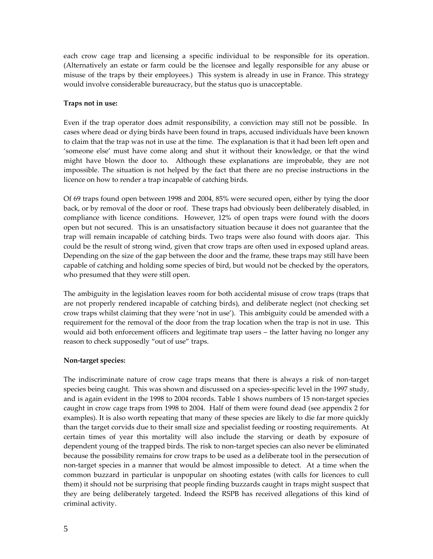each crow cage trap and licensing a specific individual to be responsible for its operation. (Alternatively an estate or farm could be the licensee and legally responsible for any abuse or misuse of the traps by their employees.) This system is already in use in France. This strategy would involve considerable bureaucracy, but the status quo is unacceptable.

### **Traps not in use:**

Even if the trap operator does admit responsibility, a conviction may still not be possible. In cases where dead or dying birds have been found in traps, accused individuals have been known to claim that the trap was not in use at the time. The explanation is that it had been left open and 'someone else' must have come along and shut it without their knowledge, or that the wind might have blown the door to. Although these explanations are improbable, they are not impossible. The situation is not helped by the fact that there are no precise instructions in the licence on how to render a trap incapable of catching birds.

Of 69 traps found open between 1998 and 2004, 85% were secured open, either by tying the door back, or by removal of the door or roof. These traps had obviously been deliberately disabled, in compliance with licence conditions. However, 12% of open traps were found with the doors open but not secured. This is an unsatisfactory situation because it does not guarantee that the trap will remain incapable of catching birds. Two traps were also found with doors ajar. This could be the result of strong wind, given that crow traps are often used in exposed upland areas. Depending on the size of the gap between the door and the frame, these traps may still have been capable of catching and holding some species of bird, but would not be checked by the operators, who presumed that they were still open.

The ambiguity in the legislation leaves room for both accidental misuse of crow traps (traps that are not properly rendered incapable of catching birds), and deliberate neglect (not checking set crow traps whilst claiming that they were 'not in use'). This ambiguity could be amended with a requirement for the removal of the door from the trap location when the trap is not in use. This would aid both enforcement officers and legitimate trap users – the latter having no longer any reason to check supposedly "out of use" traps.

#### **Non‐target species:**

The indiscriminate nature of crow cage traps means that there is always a risk of non-target species being caught. This was shown and discussed on a species-specific level in the 1997 study, and is again evident in the 1998 to 2004 records. Table 1 shows numbers of 15 non-target species caught in crow cage traps from 1998 to 2004. Half of them were found dead (see appendix 2 for examples). It is also worth repeating that many of these species are likely to die far more quickly than the target corvids due to their small size and specialist feeding or roosting requirements. At certain times of year this mortality will also include the starving or death by exposure of dependent young of the trapped birds. The risk to non-target species can also never be eliminated because the possibility remains for crow traps to be used as a deliberate tool in the persecution of non‐target species in a manner that would be almost impossible to detect. At a time when the common buzzard in particular is unpopular on shooting estates (with calls for licences to cull them) it should not be surprising that people finding buzzards caught in traps might suspect that they are being deliberately targeted. Indeed the RSPB has received allegations of this kind of criminal activity.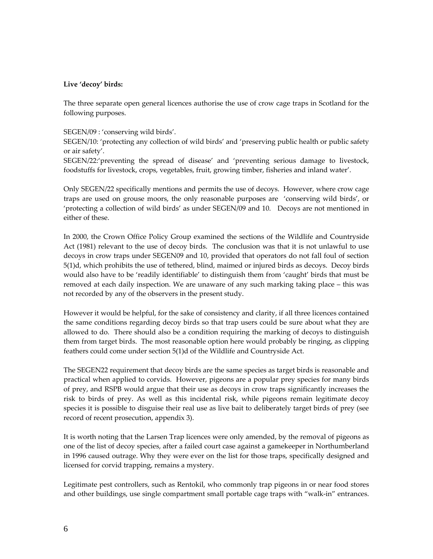### **Live 'decoy' birds:**

The three separate open general licences authorise the use of crow cage traps in Scotland for the following purposes.

### SEGEN/09 : 'conserving wild birds'.

SEGEN/10: 'protecting any collection of wild birds' and 'preserving public health or public safety or air safety'.

SEGEN/22:'preventing the spread of disease' and 'preventing serious damage to livestock, foodstuffs for livestock, crops, vegetables, fruit, growing timber, fisheries and inland water'.

Only SEGEN/22 specifically mentions and permits the use of decoys. However, where crow cage traps are used on grouse moors, the only reasonable purposes are 'conserving wild birds', or 'protecting a collection of wild birds' as under SEGEN/09 and 10. Decoys are not mentioned in either of these.

In 2000, the Crown Office Policy Group examined the sections of the Wildlife and Countryside Act (1981) relevant to the use of decoy birds. The conclusion was that it is not unlawful to use decoys in crow traps under SEGEN09 and 10, provided that operators do not fall foul of section 5(1)d, which prohibits the use of tethered, blind, maimed or injured birds as decoys. Decoy birds would also have to be 'readily identifiable' to distinguish them from 'caught' birds that must be removed at each daily inspection. We are unaware of any such marking taking place – this was not recorded by any of the observers in the present study.

However it would be helpful, for the sake of consistency and clarity, if all three licences contained the same conditions regarding decoy birds so that trap users could be sure about what they are allowed to do. There should also be a condition requiring the marking of decoys to distinguish them from target birds. The most reasonable option here would probably be ringing, as clipping feathers could come under section 5(1)d of the Wildlife and Countryside Act.

The SEGEN22 requirement that decoy birds are the same species as target birds is reasonable and practical when applied to corvids. However, pigeons are a popular prey species for many birds of prey, and RSPB would argue that their use as decoys in crow traps significantly increases the risk to birds of prey. As well as this incidental risk, while pigeons remain legitimate decoy species it is possible to disguise their real use as live bait to deliberately target birds of prey (see record of recent prosecution, appendix 3).

It is worth noting that the Larsen Trap licences were only amended, by the removal of pigeons as one of the list of decoy species, after a failed court case against a gamekeeper in Northumberland in 1996 caused outrage. Why they were ever on the list for those traps, specifically designed and licensed for corvid trapping, remains a mystery.

Legitimate pest controllers, such as Rentokil, who commonly trap pigeons in or near food stores and other buildings, use single compartment small portable cage traps with "walk‐in" entrances.